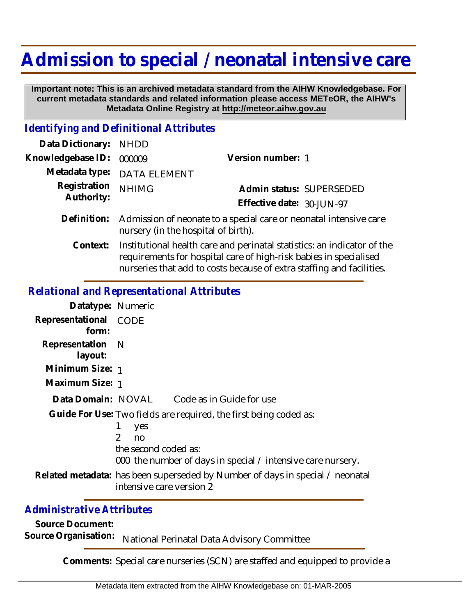# **Admission to special / neonatal intensive care**

 **Important note: This is an archived metadata standard from the AIHW Knowledgebase. For current metadata standards and related information please access METeOR, the AIHW's Metadata Online Registry at http://meteor.aihw.gov.au**

### *Identifying and Definitional Attributes*

| Data Dictionary: NHDD      |                                                                                                                                                       |                           |                          |
|----------------------------|-------------------------------------------------------------------------------------------------------------------------------------------------------|---------------------------|--------------------------|
| Knowledgebase ID:          | 000009                                                                                                                                                | Version number: 1         |                          |
|                            | Metadata type: DATA ELEMENT                                                                                                                           |                           |                          |
| Registration<br>Authority: | <b>NHIMG</b>                                                                                                                                          |                           | Admin status: SUPERSEDED |
|                            |                                                                                                                                                       | Effective date: 30-JUN-97 |                          |
|                            | Definition: Admission of neonate to a special care or neonatal intensive care<br>nursery (in the hospital of birth).                                  |                           |                          |
|                            | Context: Institutional health care and perinatal statistics: an indicator of the<br>requirements for hospital care of high-risk babies in specialised |                           |                          |

nurseries that add to costs because of extra staffing and facilities.

#### *Relational and Representational Attributes*

| Datatype: Numeric              |                                                                                                                                                                                        |
|--------------------------------|----------------------------------------------------------------------------------------------------------------------------------------------------------------------------------------|
| Representational CODE<br>form: |                                                                                                                                                                                        |
| Representation N<br>layout:    |                                                                                                                                                                                        |
| Minimum Size: 1                |                                                                                                                                                                                        |
| Maximum Size: 1                |                                                                                                                                                                                        |
|                                | Data Domain: NOVAL Code as in Guide for use                                                                                                                                            |
|                                | Guide For Use: Two fields are required, the first being coded as:<br>yes<br>$\mathcal{P}$<br>no<br>the second coded as:<br>000 the number of days in special / intensive care nursery. |
|                                | Related metadata: has been superseded by Number of days in special / neonatal<br>intensive care version 2                                                                              |

## *Administrative Attributes*

**Source Document:**

Source Organisation: National Perinatal Data Advisory Committee

**Comments:** Special care nurseries (SCN) are staffed and equipped to provide a